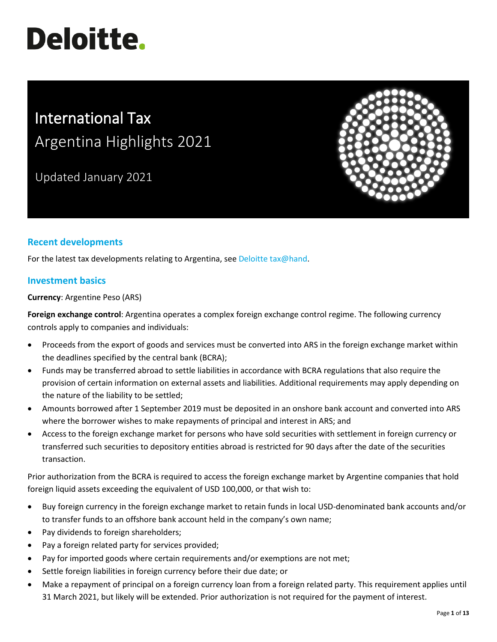# **Deloitte.**

# International Tax Argentina Highlights 2021

Updated January 2021



# **Recent developments**

For the latest tax developments relating to Argentina, see [Deloitte tax@hand.](https://www.taxathand.com/world-news/Argentina)

## **Investment basics**

**Currency**: Argentine Peso (ARS)

**Foreign exchange control**: Argentina operates a complex foreign exchange control regime. The following currency controls apply to companies and individuals:

- Proceeds from the export of goods and services must be converted into ARS in the foreign exchange market within the deadlines specified by the central bank (BCRA);
- Funds may be transferred abroad to settle liabilities in accordance with BCRA regulations that also require the provision of certain information on external assets and liabilities. Additional requirements may apply depending on the nature of the liability to be settled;
- Amounts borrowed after 1 September 2019 must be deposited in an onshore bank account and converted into ARS where the borrower wishes to make repayments of principal and interest in ARS; and
- Access to the foreign exchange market for persons who have sold securities with settlement in foreign currency or transferred such securities to depository entities abroad is restricted for 90 days after the date of the securities transaction.

Prior authorization from the BCRA is required to access the foreign exchange market by Argentine companies that hold foreign liquid assets exceeding the equivalent of USD 100,000, or that wish to:

- Buy foreign currency in the foreign exchange market to retain funds in local USD-denominated bank accounts and/or to transfer funds to an offshore bank account held in the company's own name;
- Pay dividends to foreign shareholders;
- Pay a foreign related party for services provided;
- Pay for imported goods where certain requirements and/or exemptions are not met;
- Settle foreign liabilities in foreign currency before their due date; or
- Make a repayment of principal on a foreign currency loan from a foreign related party. This requirement applies until 31 March 2021, but likely will be extended. Prior authorization is not required for the payment of interest.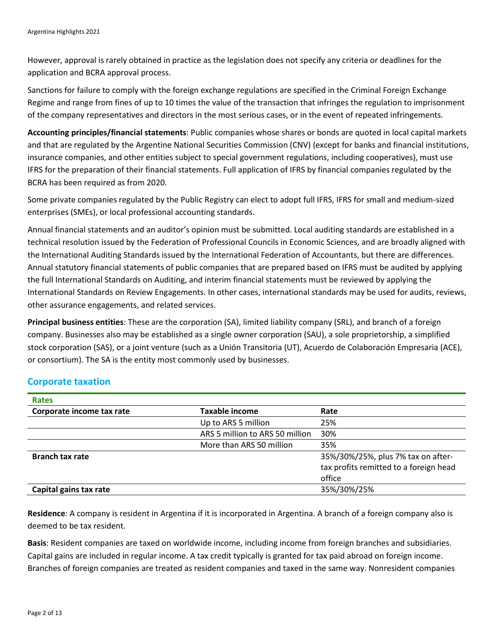However, approval is rarely obtained in practice as the legislation does not specify any criteria or deadlines for the application and BCRA approval process.

Sanctions for failure to comply with the foreign exchange regulations are specified in the Criminal Foreign Exchange Regime and range from fines of up to 10 times the value of the transaction that infringes the regulation to imprisonment of the company representatives and directors in the most serious cases, or in the event of repeated infringements.

**Accounting principles/financial statements**: Public companies whose shares or bonds are quoted in local capital markets and that are regulated by the Argentine National Securities Commission (CNV) (except for banks and financial institutions, insurance companies, and other entities subject to special government regulations, including cooperatives), must use IFRS for the preparation of their financial statements. Full application of IFRS by financial companies regulated by the BCRA has been required as from 2020.

Some private companies regulated by the Public Registry can elect to adopt full IFRS, IFRS for small and medium-sized enterprises (SMEs), or local professional accounting standards.

Annual financial statements and an auditor's opinion must be submitted. Local auditing standards are established in a technical resolution issued by the Federation of Professional Councils in Economic Sciences, and are broadly aligned with the International Auditing Standards issued by the International Federation of Accountants, but there are differences. Annual statutory financial statements of public companies that are prepared based on IFRS must be audited by applying the full International Standards on Auditing, and interim financial statements must be reviewed by applying the International Standards on Review Engagements. In other cases, international standards may be used for audits, reviews, other assurance engagements, and related services.

**Principal business entities**: These are the corporation (SA), limited liability company (SRL), and branch of a foreign company. Businesses also may be established as a single owner corporation (SAU), a sole proprietorship, a simplified stock corporation (SAS), or a joint venture (such as a Unión Transitoria (UT), Acuerdo de Colaboración Empresaria (ACE), or consortium). The SA is the entity most commonly used by businesses.

## **Corporate taxation**

| <b>Rates</b>              |                                 |                                        |
|---------------------------|---------------------------------|----------------------------------------|
| Corporate income tax rate | <b>Taxable income</b>           | Rate                                   |
|                           | Up to ARS 5 million             | 25%                                    |
|                           | ARS 5 million to ARS 50 million | 30%                                    |
|                           | More than ARS 50 million        | 35%                                    |
| <b>Branch tax rate</b>    |                                 | 35%/30%/25%, plus 7% tax on after-     |
|                           |                                 | tax profits remitted to a foreign head |
|                           |                                 | office                                 |
| Capital gains tax rate    |                                 | 35%/30%/25%                            |

**Residence**: A company is resident in Argentina if it is incorporated in Argentina. A branch of a foreign company also is deemed to be tax resident.

**Basis**: Resident companies are taxed on worldwide income, including income from foreign branches and subsidiaries. Capital gains are included in regular income. A tax credit typically is granted for tax paid abroad on foreign income. Branches of foreign companies are treated as resident companies and taxed in the same way. Nonresident companies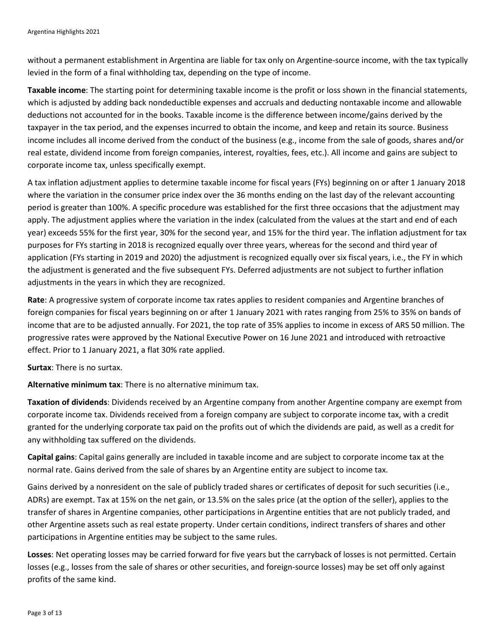without a permanent establishment in Argentina are liable for tax only on Argentine-source income, with the tax typically levied in the form of a final withholding tax, depending on the type of income.

**Taxable income**: The starting point for determining taxable income is the profit or loss shown in the financial statements, which is adjusted by adding back nondeductible expenses and accruals and deducting nontaxable income and allowable deductions not accounted for in the books. Taxable income is the difference between income/gains derived by the taxpayer in the tax period, and the expenses incurred to obtain the income, and keep and retain its source. Business income includes all income derived from the conduct of the business (e.g., income from the sale of goods, shares and/or real estate, dividend income from foreign companies, interest, royalties, fees, etc.). All income and gains are subject to corporate income tax, unless specifically exempt.

A tax inflation adjustment applies to determine taxable income for fiscal years (FYs) beginning on or after 1 January 2018 where the variation in the consumer price index over the 36 months ending on the last day of the relevant accounting period is greater than 100%. A specific procedure was established for the first three occasions that the adjustment may apply. The adjustment applies where the variation in the index (calculated from the values at the start and end of each year) exceeds 55% for the first year, 30% for the second year, and 15% for the third year. The inflation adjustment for tax purposes for FYs starting in 2018 is recognized equally over three years, whereas for the second and third year of application (FYs starting in 2019 and 2020) the adjustment is recognized equally over six fiscal years, i.e., the FY in which the adjustment is generated and the five subsequent FYs. Deferred adjustments are not subject to further inflation adjustments in the years in which they are recognized.

**Rate**: A progressive system of corporate income tax rates applies to resident companies and Argentine branches of foreign companies for fiscal years beginning on or after 1 January 2021 with rates ranging from 25% to 35% on bands of income that are to be adjusted annually. For 2021, the top rate of 35% applies to income in excess of ARS 50 million. The progressive rates were approved by the National Executive Power on 16 June 2021 and introduced with retroactive effect. Prior to 1 January 2021, a flat 30% rate applied.

**Surtax**: There is no surtax.

**Alternative minimum tax**: There is no alternative minimum tax.

**Taxation of dividends**: Dividends received by an Argentine company from another Argentine company are exempt from corporate income tax. Dividends received from a foreign company are subject to corporate income tax, with a credit granted for the underlying corporate tax paid on the profits out of which the dividends are paid, as well as a credit for any withholding tax suffered on the dividends.

**Capital gains**: Capital gains generally are included in taxable income and are subject to corporate income tax at the normal rate. Gains derived from the sale of shares by an Argentine entity are subject to income tax.

Gains derived by a nonresident on the sale of publicly traded shares or certificates of deposit for such securities (i.e., ADRs) are exempt. Tax at 15% on the net gain, or 13.5% on the sales price (at the option of the seller), applies to the transfer of shares in Argentine companies, other participations in Argentine entities that are not publicly traded, and other Argentine assets such as real estate property. Under certain conditions, indirect transfers of shares and other participations in Argentine entities may be subject to the same rules.

**Losses**: Net operating losses may be carried forward for five years but the carryback of losses is not permitted. Certain losses (e.g., losses from the sale of shares or other securities, and foreign-source losses) may be set off only against profits of the same kind.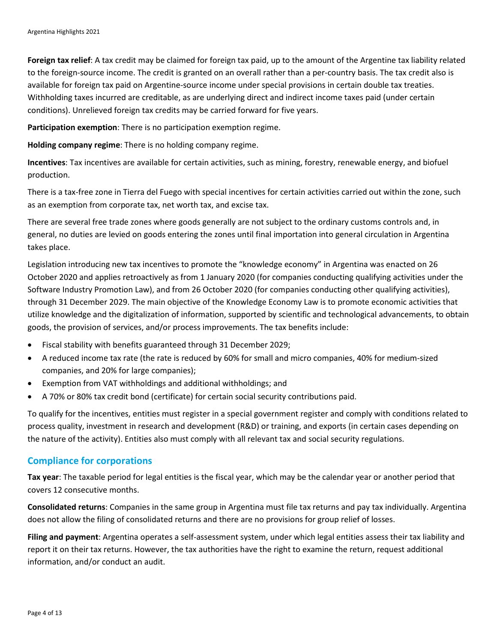**Foreign tax relief**: A tax credit may be claimed for foreign tax paid, up to the amount of the Argentine tax liability related to the foreign-source income. The credit is granted on an overall rather than a per-country basis. The tax credit also is available for foreign tax paid on Argentine-source income under special provisions in certain double tax treaties. Withholding taxes incurred are creditable, as are underlying direct and indirect income taxes paid (under certain conditions). Unrelieved foreign tax credits may be carried forward for five years.

**Participation exemption**: There is no participation exemption regime.

**Holding company regime**: There is no holding company regime.

**Incentives**: Tax incentives are available for certain activities, such as mining, forestry, renewable energy, and biofuel production.

There is a tax-free zone in Tierra del Fuego with special incentives for certain activities carried out within the zone, such as an exemption from corporate tax, net worth tax, and excise tax.

There are several free trade zones where goods generally are not subject to the ordinary customs controls and, in general, no duties are levied on goods entering the zones until final importation into general circulation in Argentina takes place.

Legislation introducing new tax incentives to promote the "knowledge economy" in Argentina was enacted on 26 October 2020 and applies retroactively as from 1 January 2020 (for companies conducting qualifying activities under the Software Industry Promotion Law), and from 26 October 2020 (for companies conducting other qualifying activities), through 31 December 2029. The main objective of the Knowledge Economy Law is to promote economic activities that utilize knowledge and the digitalization of information, supported by scientific and technological advancements, to obtain goods, the provision of services, and/or process improvements. The tax benefits include:

- Fiscal stability with benefits guaranteed through 31 December 2029;
- A reduced income tax rate (the rate is reduced by 60% for small and micro companies, 40% for medium-sized companies, and 20% for large companies);
- Exemption from VAT withholdings and additional withholdings; and
- A 70% or 80% tax credit bond (certificate) for certain social security contributions paid.

To qualify for the incentives, entities must register in a special government register and comply with conditions related to process quality, investment in research and development (R&D) or training, and exports (in certain cases depending on the nature of the activity). Entities also must comply with all relevant tax and social security regulations.

## **Compliance for corporations**

**Tax year**: The taxable period for legal entities is the fiscal year, which may be the calendar year or another period that covers 12 consecutive months.

**Consolidated returns**: Companies in the same group in Argentina must file tax returns and pay tax individually. Argentina does not allow the filing of consolidated returns and there are no provisions for group relief of losses.

**Filing and payment**: Argentina operates a self-assessment system, under which legal entities assess their tax liability and report it on their tax returns. However, the tax authorities have the right to examine the return, request additional information, and/or conduct an audit.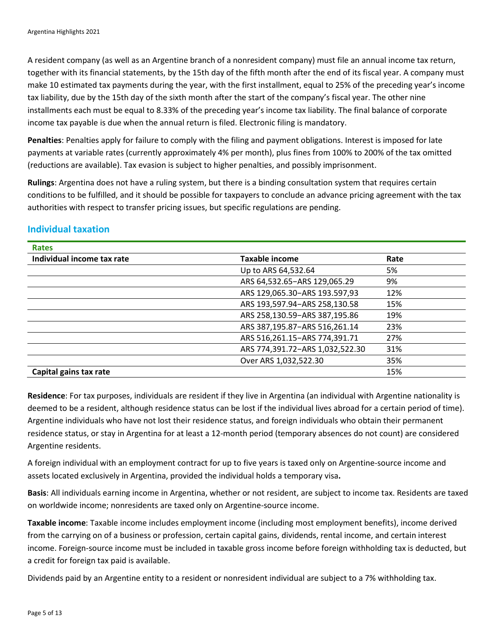A resident company (as well as an Argentine branch of a nonresident company) must file an annual income tax return, together with its financial statements, by the 15th day of the fifth month after the end of its fiscal year. A company must make 10 estimated tax payments during the year, with the first installment, equal to 25% of the preceding year's income tax liability, due by the 15th day of the sixth month after the start of the company's fiscal year. The other nine installments each must be equal to 8.33% of the preceding year's income tax liability. The final balance of corporate income tax payable is due when the annual return is filed. Electronic filing is mandatory.

**Penalties**: Penalties apply for failure to comply with the filing and payment obligations. Interest is imposed for late payments at variable rates (currently approximately 4% per month), plus fines from 100% to 200% of the tax omitted (reductions are available). Tax evasion is subject to higher penalties, and possibly imprisonment.

**Rulings**: Argentina does not have a ruling system, but there is a binding consultation system that requires certain conditions to be fulfilled, and it should be possible for taxpayers to conclude an advance pricing agreement with the tax authorities with respect to transfer pricing issues, but specific regulations are pending.

| <b>Rates</b>               |                                 |      |
|----------------------------|---------------------------------|------|
| Individual income tax rate | <b>Taxable income</b>           | Rate |
|                            | Up to ARS 64,532.64             | 5%   |
|                            | ARS 64,532.65-ARS 129,065.29    | 9%   |
|                            | ARS 129,065.30-ARS 193.597,93   | 12%  |
|                            | ARS 193,597.94-ARS 258,130.58   | 15%  |
|                            | ARS 258,130.59-ARS 387,195.86   | 19%  |
|                            | ARS 387,195.87-ARS 516,261.14   | 23%  |
|                            | ARS 516,261.15-ARS 774,391.71   | 27%  |
|                            | ARS 774,391.72-ARS 1,032,522.30 | 31%  |
|                            | Over ARS 1,032,522.30           | 35%  |
| Capital gains tax rate     |                                 | 15%  |

# **Individual taxation**

**Residence**: For tax purposes, individuals are resident if they live in Argentina (an individual with Argentine nationality is deemed to be a resident, although residence status can be lost if the individual lives abroad for a certain period of time). Argentine individuals who have not lost their residence status, and foreign individuals who obtain their permanent residence status, or stay in Argentina for at least a 12-month period (temporary absences do not count) are considered Argentine residents.

A foreign individual with an employment contract for up to five years is taxed only on Argentine-source income and assets located exclusively in Argentina, provided the individual holds a temporary visa**.**

**Basis**: All individuals earning income in Argentina, whether or not resident, are subject to income tax. Residents are taxed on worldwide income; nonresidents are taxed only on Argentine-source income.

**Taxable income**: Taxable income includes employment income (including most employment benefits), income derived from the carrying on of a business or profession, certain capital gains, dividends, rental income, and certain interest income. Foreign-source income must be included in taxable gross income before foreign withholding tax is deducted, but a credit for foreign tax paid is available.

Dividends paid by an Argentine entity to a resident or nonresident individual are subject to a 7% withholding tax.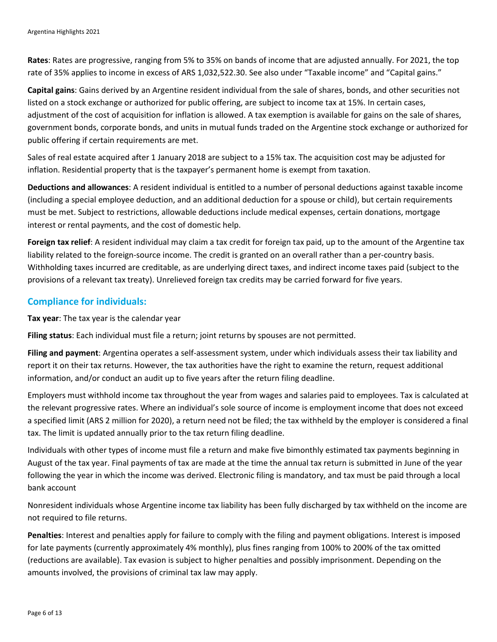**Rates**: Rates are progressive, ranging from 5% to 35% on bands of income that are adjusted annually. For 2021, the top rate of 35% applies to income in excess of ARS 1,032,522.30. See also under "Taxable income" and "Capital gains."

**Capital gains**: Gains derived by an Argentine resident individual from the sale of shares, bonds, and other securities not listed on a stock exchange or authorized for public offering, are subject to income tax at 15%. In certain cases, adjustment of the cost of acquisition for inflation is allowed. A tax exemption is available for gains on the sale of shares, government bonds, corporate bonds, and units in mutual funds traded on the Argentine stock exchange or authorized for public offering if certain requirements are met.

Sales of real estate acquired after 1 January 2018 are subject to a 15% tax. The acquisition cost may be adjusted for inflation. Residential property that is the taxpayer's permanent home is exempt from taxation.

**Deductions and allowances**: A resident individual is entitled to a number of personal deductions against taxable income (including a special employee deduction, and an additional deduction for a spouse or child), but certain requirements must be met. Subject to restrictions, allowable deductions include medical expenses, certain donations, mortgage interest or rental payments, and the cost of domestic help.

**Foreign tax relief**: A resident individual may claim a tax credit for foreign tax paid, up to the amount of the Argentine tax liability related to the foreign-source income. The credit is granted on an overall rather than a per-country basis. Withholding taxes incurred are creditable, as are underlying direct taxes, and indirect income taxes paid (subject to the provisions of a relevant tax treaty). Unrelieved foreign tax credits may be carried forward for five years.

## **Compliance for individuals:**

**Tax year**: The tax year is the calendar year

**Filing status**: Each individual must file a return; joint returns by spouses are not permitted.

**Filing and payment**: Argentina operates a self-assessment system, under which individuals assess their tax liability and report it on their tax returns. However, the tax authorities have the right to examine the return, request additional information, and/or conduct an audit up to five years after the return filing deadline.

Employers must withhold income tax throughout the year from wages and salaries paid to employees. Tax is calculated at the relevant progressive rates. Where an individual's sole source of income is employment income that does not exceed a specified limit (ARS 2 million for 2020), a return need not be filed; the tax withheld by the employer is considered a final tax. The limit is updated annually prior to the tax return filing deadline.

Individuals with other types of income must file a return and make five bimonthly estimated tax payments beginning in August of the tax year. Final payments of tax are made at the time the annual tax return is submitted in June of the year following the year in which the income was derived. Electronic filing is mandatory, and tax must be paid through a local bank account

Nonresident individuals whose Argentine income tax liability has been fully discharged by tax withheld on the income are not required to file returns.

**Penalties**: Interest and penalties apply for failure to comply with the filing and payment obligations. Interest is imposed for late payments (currently approximately 4% monthly), plus fines ranging from 100% to 200% of the tax omitted (reductions are available). Tax evasion is subject to higher penalties and possibly imprisonment. Depending on the amounts involved, the provisions of criminal tax law may apply.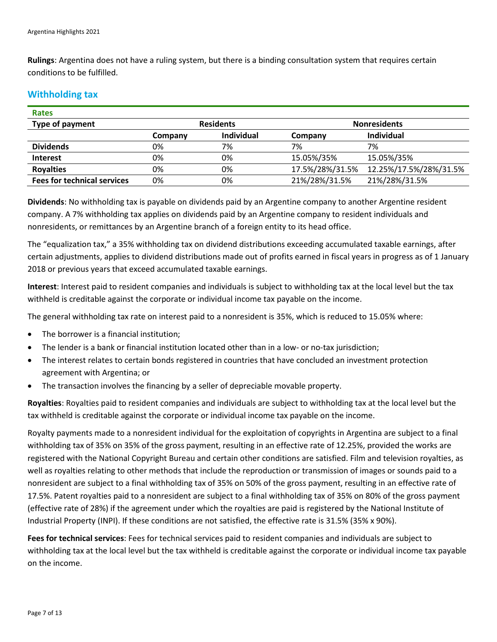**Rulings**: Argentina does not have a ruling system, but there is a binding consultation system that requires certain conditions to be fulfilled.

# **Withholding tax**

| <b>Rates</b>                       |                  |                   |                 |                        |  |
|------------------------------------|------------------|-------------------|-----------------|------------------------|--|
| Type of payment                    | <b>Residents</b> |                   |                 | <b>Nonresidents</b>    |  |
|                                    | Company          | <b>Individual</b> | Company         | Individual             |  |
| <b>Dividends</b>                   | 0%               | 7%                | 7%              | 7%                     |  |
| <b>Interest</b>                    | 0%               | 0%                | 15.05%/35%      | 15.05%/35%             |  |
| <b>Royalties</b>                   | 0%               | 0%                | 17.5%/28%/31.5% | 12.25%/17.5%/28%/31.5% |  |
| <b>Fees for technical services</b> | 0%               | 0%                | 21%/28%/31.5%   | 21%/28%/31.5%          |  |

**Dividends**: No withholding tax is payable on dividends paid by an Argentine company to another Argentine resident company. A 7% withholding tax applies on dividends paid by an Argentine company to resident individuals and nonresidents, or remittances by an Argentine branch of a foreign entity to its head office.

The "equalization tax," a 35% withholding tax on dividend distributions exceeding accumulated taxable earnings, after certain adjustments, applies to dividend distributions made out of profits earned in fiscal years in progress as of 1 January 2018 or previous years that exceed accumulated taxable earnings.

**Interest**: Interest paid to resident companies and individuals is subject to withholding tax at the local level but the tax withheld is creditable against the corporate or individual income tax payable on the income.

The general withholding tax rate on interest paid to a nonresident is 35%, which is reduced to 15.05% where:

- The borrower is a financial institution;
- The lender is a bank or financial institution located other than in a low- or no-tax jurisdiction;
- The interest relates to certain bonds registered in countries that have concluded an investment protection agreement with Argentina; or
- The transaction involves the financing by a seller of depreciable movable property.

**Royalties**: Royalties paid to resident companies and individuals are subject to withholding tax at the local level but the tax withheld is creditable against the corporate or individual income tax payable on the income.

Royalty payments made to a nonresident individual for the exploitation of copyrights in Argentina are subject to a final withholding tax of 35% on 35% of the gross payment, resulting in an effective rate of 12.25%, provided the works are registered with the National Copyright Bureau and certain other conditions are satisfied. Film and television royalties, as well as royalties relating to other methods that include the reproduction or transmission of images or sounds paid to a nonresident are subject to a final withholding tax of 35% on 50% of the gross payment, resulting in an effective rate of 17.5%. Patent royalties paid to a nonresident are subject to a final withholding tax of 35% on 80% of the gross payment (effective rate of 28%) if the agreement under which the royalties are paid is registered by the National Institute of Industrial Property (INPI). If these conditions are not satisfied, the effective rate is 31.5% (35% x 90%).

**Fees for technical services**: Fees for technical services paid to resident companies and individuals are subject to withholding tax at the local level but the tax withheld is creditable against the corporate or individual income tax payable on the income.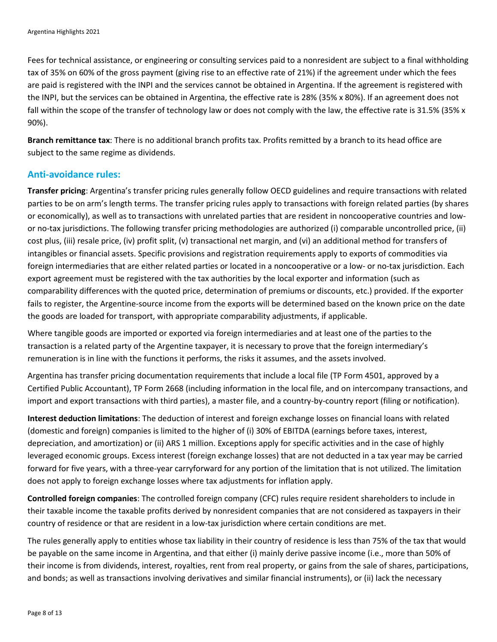Fees for technical assistance, or engineering or consulting services paid to a nonresident are subject to a final withholding tax of 35% on 60% of the gross payment (giving rise to an effective rate of 21%) if the agreement under which the fees are paid is registered with the INPI and the services cannot be obtained in Argentina. If the agreement is registered with the INPI, but the services can be obtained in Argentina, the effective rate is 28% (35% x 80%). If an agreement does not fall within the scope of the transfer of technology law or does not comply with the law, the effective rate is 31.5% (35% x 90%).

**Branch remittance tax**: There is no additional branch profits tax. Profits remitted by a branch to its head office are subject to the same regime as dividends.

# **Anti-avoidance rules:**

**Transfer pricing**: Argentina's transfer pricing rules generally follow OECD guidelines and require transactions with related parties to be on arm's length terms. The transfer pricing rules apply to transactions with foreign related parties (by shares or economically), as well as to transactions with unrelated parties that are resident in noncooperative countries and lowor no-tax jurisdictions. The following transfer pricing methodologies are authorized (i) comparable uncontrolled price, (ii) cost plus, (iii) resale price, (iv) profit split, (v) transactional net margin, and (vi) an additional method for transfers of intangibles or financial assets. Specific provisions and registration requirements apply to exports of commodities via foreign intermediaries that are either related parties or located in a noncooperative or a low- or no-tax jurisdiction. Each export agreement must be registered with the tax authorities by the local exporter and information (such as comparability differences with the quoted price, determination of premiums or discounts, etc.) provided. If the exporter fails to register, the Argentine-source income from the exports will be determined based on the known price on the date the goods are loaded for transport, with appropriate comparability adjustments, if applicable.

Where tangible goods are imported or exported via foreign intermediaries and at least one of the parties to the transaction is a related party of the Argentine taxpayer, it is necessary to prove that the foreign intermediary's remuneration is in line with the functions it performs, the risks it assumes, and the assets involved.

Argentina has transfer pricing documentation requirements that include a local file (TP Form 4501, approved by a Certified Public Accountant), TP Form 2668 (including information in the local file, and on intercompany transactions, and import and export transactions with third parties), a master file, and a country-by-country report (filing or notification).

**Interest deduction limitations**: The deduction of interest and foreign exchange losses on financial loans with related (domestic and foreign) companies is limited to the higher of (i) 30% of EBITDA (earnings before taxes, interest, depreciation, and amortization) or (ii) ARS 1 million. Exceptions apply for specific activities and in the case of highly leveraged economic groups. Excess interest (foreign exchange losses) that are not deducted in a tax year may be carried forward for five years, with a three-year carryforward for any portion of the limitation that is not utilized. The limitation does not apply to foreign exchange losses where tax adjustments for inflation apply.

**Controlled foreign companies**: The controlled foreign company (CFC) rules require resident shareholders to include in their taxable income the taxable profits derived by nonresident companies that are not considered as taxpayers in their country of residence or that are resident in a low-tax jurisdiction where certain conditions are met.

The rules generally apply to entities whose tax liability in their country of residence is less than 75% of the tax that would be payable on the same income in Argentina, and that either (i) mainly derive passive income (i.e., more than 50% of their income is from dividends, interest, royalties, rent from real property, or gains from the sale of shares, participations, and bonds; as well as transactions involving derivatives and similar financial instruments), or (ii) lack the necessary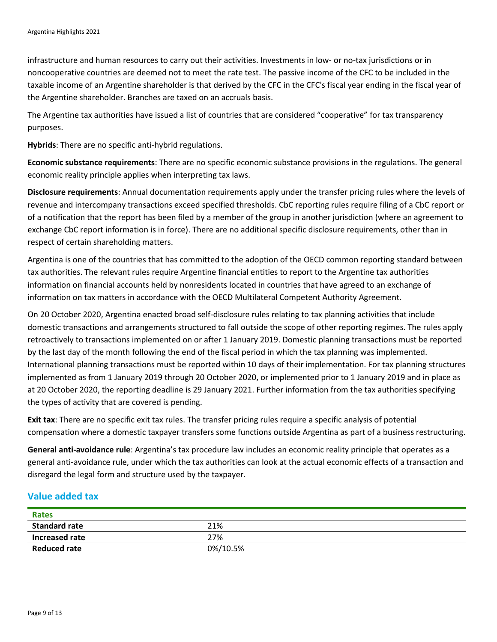infrastructure and human resources to carry out their activities. Investments in low- or no-tax jurisdictions or in noncooperative countries are deemed not to meet the rate test. The passive income of the CFC to be included in the taxable income of an Argentine shareholder is that derived by the CFC in the CFC's fiscal year ending in the fiscal year of the Argentine shareholder. Branches are taxed on an accruals basis.

The Argentine tax authorities have issued a list of countries that are considered "cooperative" for tax transparency purposes.

**Hybrids**: There are no specific anti-hybrid regulations.

**Economic substance requirements**: There are no specific economic substance provisions in the regulations. The general economic reality principle applies when interpreting tax laws.

**Disclosure requirements**: Annual documentation requirements apply under the transfer pricing rules where the levels of revenue and intercompany transactions exceed specified thresholds. CbC reporting rules require filing of a CbC report or of a notification that the report has been filed by a member of the group in another jurisdiction (where an agreement to exchange CbC report information is in force). There are no additional specific disclosure requirements, other than in respect of certain shareholding matters.

Argentina is one of the countries that has committed to the adoption of the OECD common reporting standard between tax authorities. The relevant rules require Argentine financial entities to report to the Argentine tax authorities information on financial accounts held by nonresidents located in countries that have agreed to an exchange of information on tax matters in accordance with the OECD Multilateral Competent Authority Agreement.

On 20 October 2020, Argentina enacted broad self-disclosure rules relating to tax planning activities that include domestic transactions and arrangements structured to fall outside the scope of other reporting regimes. The rules apply retroactively to transactions implemented on or after 1 January 2019. Domestic planning transactions must be reported by the last day of the month following the end of the fiscal period in which the tax planning was implemented. International planning transactions must be reported within 10 days of their implementation. For tax planning structures implemented as from 1 January 2019 through 20 October 2020, or implemented prior to 1 January 2019 and in place as at 20 October 2020, the reporting deadline is 29 January 2021. Further information from the tax authorities specifying the types of activity that are covered is pending.

**Exit tax**: There are no specific exit tax rules. The transfer pricing rules require a specific analysis of potential compensation where a domestic taxpayer transfers some functions outside Argentina as part of a business restructuring.

**General anti-avoidance rule**: Argentina's tax procedure law includes an economic reality principle that operates as a general anti-avoidance rule, under which the tax authorities can look at the actual economic effects of a transaction and disregard the legal form and structure used by the taxpayer.

## **Value added tax**

| <b>Rates</b>         |          |
|----------------------|----------|
| <b>Standard rate</b> | 21%      |
| Increased rate       | 27%      |
| <b>Reduced rate</b>  | 0%/10.5% |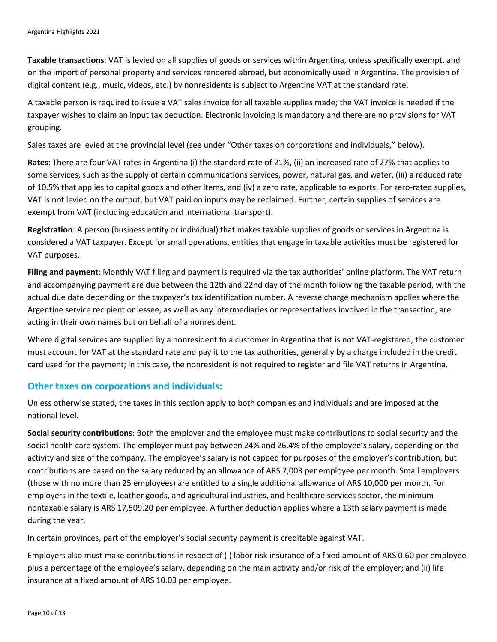**Taxable transactions**: VAT is levied on all supplies of goods or services within Argentina, unless specifically exempt, and on the import of personal property and services rendered abroad, but economically used in Argentina. The provision of digital content (e.g., music, videos, etc.) by nonresidents is subject to Argentine VAT at the standard rate.

A taxable person is required to issue a VAT sales invoice for all taxable supplies made; the VAT invoice is needed if the taxpayer wishes to claim an input tax deduction. Electronic invoicing is mandatory and there are no provisions for VAT grouping.

Sales taxes are levied at the provincial level (see under "Other taxes on corporations and individuals," below).

**Rates**: There are four VAT rates in Argentina (i) the standard rate of 21%, (ii) an increased rate of 27% that applies to some services, such as the supply of certain communications services, power, natural gas, and water, (iii) a reduced rate of 10.5% that applies to capital goods and other items, and (iv) a zero rate, applicable to exports. For zero-rated supplies, VAT is not levied on the output, but VAT paid on inputs may be reclaimed. Further, certain supplies of services are exempt from VAT (including education and international transport).

**Registration**: A person (business entity or individual) that makes taxable supplies of goods or services in Argentina is considered a VAT taxpayer. Except for small operations, entities that engage in taxable activities must be registered for VAT purposes.

**Filing and payment**: Monthly VAT filing and payment is required via the tax authorities' online platform. The VAT return and accompanying payment are due between the 12th and 22nd day of the month following the taxable period, with the actual due date depending on the taxpayer's tax identification number. A reverse charge mechanism applies where the Argentine service recipient or lessee, as well as any intermediaries or representatives involved in the transaction, are acting in their own names but on behalf of a nonresident.

Where digital services are supplied by a nonresident to a customer in Argentina that is not VAT-registered, the customer must account for VAT at the standard rate and pay it to the tax authorities, generally by a charge included in the credit card used for the payment; in this case, the nonresident is not required to register and file VAT returns in Argentina.

#### **Other taxes on corporations and individuals:**

Unless otherwise stated, the taxes in this section apply to both companies and individuals and are imposed at the national level.

**Social security contributions**: Both the employer and the employee must make contributions to social security and the social health care system. The employer must pay between 24% and 26.4% of the employee's salary, depending on the activity and size of the company. The employee's salary is not capped for purposes of the employer's contribution, but contributions are based on the salary reduced by an allowance of ARS 7,003 per employee per month. Small employers (those with no more than 25 employees) are entitled to a single additional allowance of ARS 10,000 per month. For employers in the textile, leather goods, and agricultural industries, and healthcare services sector, the minimum nontaxable salary is ARS 17,509.20 per employee. A further deduction applies where a 13th salary payment is made during the year.

In certain provinces, part of the employer's social security payment is creditable against VAT.

Employers also must make contributions in respect of (i) labor risk insurance of a fixed amount of ARS 0.60 per employee plus a percentage of the employee's salary, depending on the main activity and/or risk of the employer; and (ii) life insurance at a fixed amount of ARS 10.03 per employee.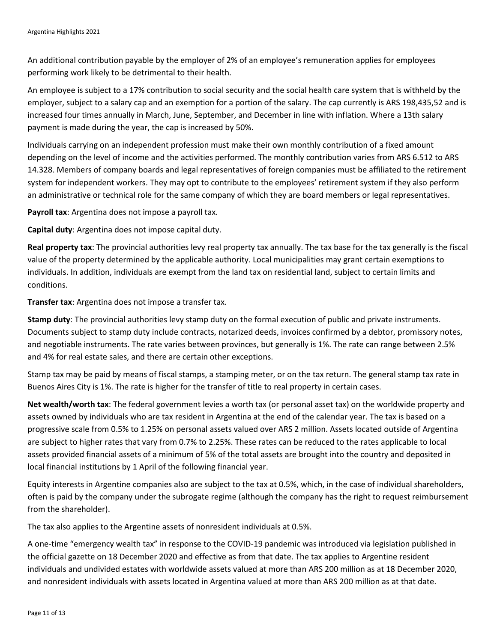An additional contribution payable by the employer of 2% of an employee's remuneration applies for employees performing work likely to be detrimental to their health.

An employee is subject to a 17% contribution to social security and the social health care system that is withheld by the employer, subject to a salary cap and an exemption for a portion of the salary. The cap currently is ARS 198,435,52 and is increased four times annually in March, June, September, and December in line with inflation. Where a 13th salary payment is made during the year, the cap is increased by 50%.

Individuals carrying on an independent profession must make their own monthly contribution of a fixed amount depending on the level of income and the activities performed. The monthly contribution varies from ARS 6.512 to ARS 14.328. Members of company boards and legal representatives of foreign companies must be affiliated to the retirement system for independent workers. They may opt to contribute to the employees' retirement system if they also perform an administrative or technical role for the same company of which they are board members or legal representatives.

**Payroll tax**: Argentina does not impose a payroll tax.

**Capital duty**: Argentina does not impose capital duty.

**Real property tax**: The provincial authorities levy real property tax annually. The tax base for the tax generally is the fiscal value of the property determined by the applicable authority. Local municipalities may grant certain exemptions to individuals. In addition, individuals are exempt from the land tax on residential land, subject to certain limits and conditions.

**Transfer tax**: Argentina does not impose a transfer tax.

**Stamp duty**: The provincial authorities levy stamp duty on the formal execution of public and private instruments. Documents subject to stamp duty include contracts, notarized deeds, invoices confirmed by a debtor, promissory notes, and negotiable instruments. The rate varies between provinces, but generally is 1%. The rate can range between 2.5% and 4% for real estate sales, and there are certain other exceptions.

Stamp tax may be paid by means of fiscal stamps, a stamping meter, or on the tax return. The general stamp tax rate in Buenos Aires City is 1%. The rate is higher for the transfer of title to real property in certain cases.

**Net wealth/worth tax**: The federal government levies a worth tax (or personal asset tax) on the worldwide property and assets owned by individuals who are tax resident in Argentina at the end of the calendar year. The tax is based on a progressive scale from 0.5% to 1.25% on personal assets valued over ARS 2 million. Assets located outside of Argentina are subject to higher rates that vary from 0.7% to 2.25%. These rates can be reduced to the rates applicable to local assets provided financial assets of a minimum of 5% of the total assets are brought into the country and deposited in local financial institutions by 1 April of the following financial year.

Equity interests in Argentine companies also are subject to the tax at 0.5%, which, in the case of individual shareholders, often is paid by the company under the subrogate regime (although the company has the right to request reimbursement from the shareholder).

The tax also applies to the Argentine assets of nonresident individuals at 0.5%.

A one-time "emergency wealth tax" in response to the COVID-19 pandemic was introduced via legislation published in the official gazette on 18 December 2020 and effective as from that date. The tax applies to Argentine resident individuals and undivided estates with worldwide assets valued at more than ARS 200 million as at 18 December 2020, and nonresident individuals with assets located in Argentina valued at more than ARS 200 million as at that date.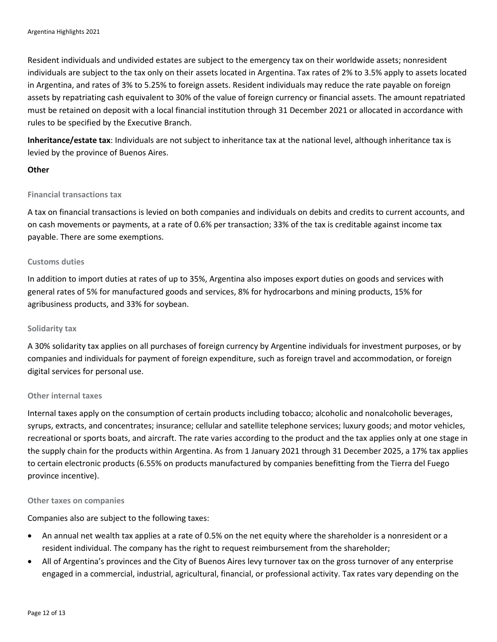Resident individuals and undivided estates are subject to the emergency tax on their worldwide assets; nonresident individuals are subject to the tax only on their assets located in Argentina. Tax rates of 2% to 3.5% apply to assets located in Argentina, and rates of 3% to 5.25% to foreign assets. Resident individuals may reduce the rate payable on foreign assets by repatriating cash equivalent to 30% of the value of foreign currency or financial assets. The amount repatriated must be retained on deposit with a local financial institution through 31 December 2021 or allocated in accordance with rules to be specified by the Executive Branch.

**Inheritance/estate tax**: Individuals are not subject to inheritance tax at the national level, although inheritance tax is levied by the province of Buenos Aires.

#### **Other**

#### **Financial transactions tax**

A tax on financial transactions is levied on both companies and individuals on debits and credits to current accounts, and on cash movements or payments, at a rate of 0.6% per transaction; 33% of the tax is creditable against income tax payable. There are some exemptions.

#### **Customs duties**

In addition to import duties at rates of up to 35%, Argentina also imposes export duties on goods and services with general rates of 5% for manufactured goods and services, 8% for hydrocarbons and mining products, 15% for agribusiness products, and 33% for soybean.

#### **Solidarity tax**

A 30% solidarity tax applies on all purchases of foreign currency by Argentine individuals for investment purposes, or by companies and individuals for payment of foreign expenditure, such as foreign travel and accommodation, or foreign digital services for personal use.

#### **Other internal taxes**

Internal taxes apply on the consumption of certain products including tobacco; alcoholic and nonalcoholic beverages, syrups, extracts, and concentrates; insurance; cellular and satellite telephone services; luxury goods; and motor vehicles, recreational or sports boats, and aircraft. The rate varies according to the product and the tax applies only at one stage in the supply chain for the products within Argentina. As from 1 January 2021 through 31 December 2025, a 17% tax applies to certain electronic products (6.55% on products manufactured by companies benefitting from the Tierra del Fuego province incentive).

#### **Other taxes on companies**

Companies also are subject to the following taxes:

- An annual net wealth tax applies at a rate of 0.5% on the net equity where the shareholder is a nonresident or a resident individual. The company has the right to request reimbursement from the shareholder;
- All of Argentina's provinces and the City of Buenos Aires levy turnover tax on the gross turnover of any enterprise engaged in a commercial, industrial, agricultural, financial, or professional activity. Tax rates vary depending on the